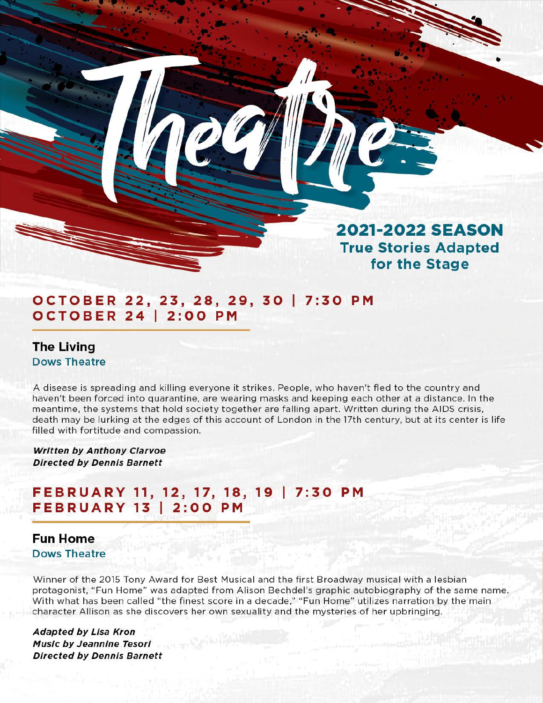# **2021-2022 SEASON True Stories Adapted for the Stage**

### **OCTOBER 22, 23, 28, 29, 30 I 7:30 PM OCTOBER 24 I 2:00 PM**

**The Living Dows Theatre** 

A disease is spreading and killing everyone it strikes. People, who haven't fled to the country and haven't been forced into quarantine, are wearing masks and keeping each other at a distance. In the meantime, the systems that hold society together are falling apart. Written during the AIDS crisis, death may be lurking at the edges of this account of London in the 17th century, but at its center is life filled with fortitude and compassion.

**Written by Anthony Clarvoe Directed by Dennis Barnett** 

## **FEBRUARY 11, 12, 17, 18, 19 I 7:30 PM FEBRUARY 13 I 2:00 PM**

#### **Fun Home Dows Theatre**

Winner of the 2015 Tony Award for Best Musical and the first Broadway musical with a lesbian protagonist, "Fun Home" was adapted from Alison Bechdel's graphic autobiography of the same name. With what has been called "the finest score in a decade," "Fun Home" utilizes narration by the main character Allison as she discovers her own sexuality and the mysteries of her upbringing.

**Adapted by Lisa Kron Music by Jeannine Tesorl Directed by Dennis Barnett**